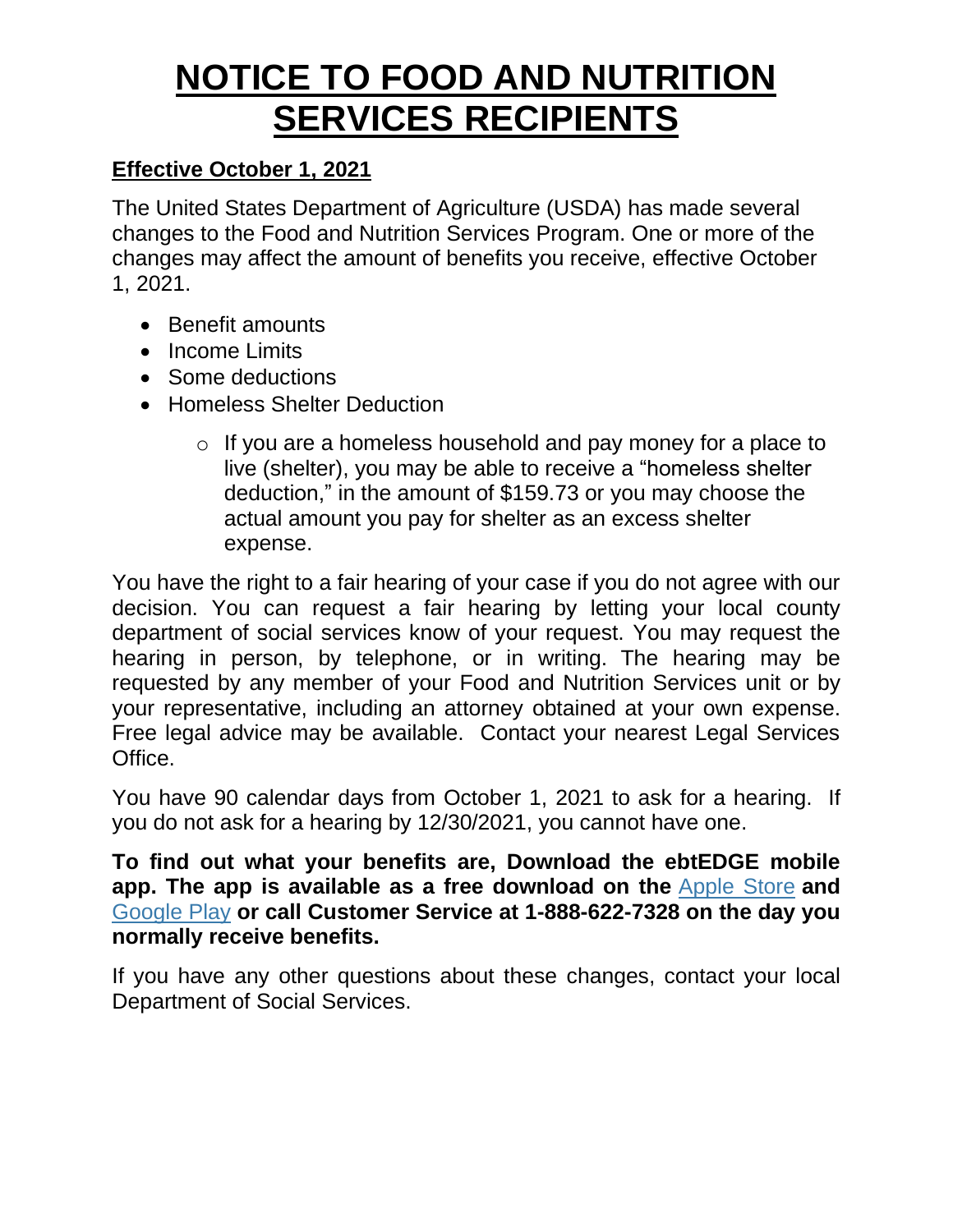# **NOTICE TO FOOD AND NUTRITION SERVICES RECIPIENTS**

## **Effective October 1, 2021**

The United States Department of Agriculture (USDA) has made several changes to the Food and Nutrition Services Program. One or more of the changes may affect the amount of benefits you receive, effective October 1, 2021.

- Benefit amounts
- Income Limits
- Some deductions
- Homeless Shelter Deduction
	- o If you are a homeless household and pay money for a place to live (shelter), you may be able to receive a "homeless shelter deduction," in the amount of \$159.73 or you may choose the actual amount you pay for shelter as an excess shelter expense.

You have the right to a fair hearing of your case if you do not agree with our decision. You can request a fair hearing by letting your local county department of social services know of your request. You may request the hearing in person, by telephone, or in writing. The hearing may be requested by any member of your Food and Nutrition Services unit or by your representative, including an attorney obtained at your own expense. Free legal advice may be available. Contact your nearest Legal Services Office.

You have 90 calendar days from October 1, 2021 to ask for a hearing. If you do not ask for a hearing by 12/30/2021, you cannot have one.

**To find out what your benefits are, Download the ebtEDGE mobile app. The app is available as a free download on the** [Apple Store](https://itunes.apple.com/us/app/ebtedge/id1398046228?mt=8) **and**  [Google Play](https://play.google.com/store/apps/details?id=com.fis.ebtedge&hl=en_US) **or call Customer Service at 1-888-622-7328 on the day you normally receive benefits.**

If you have any other questions about these changes, contact your local Department of Social Services.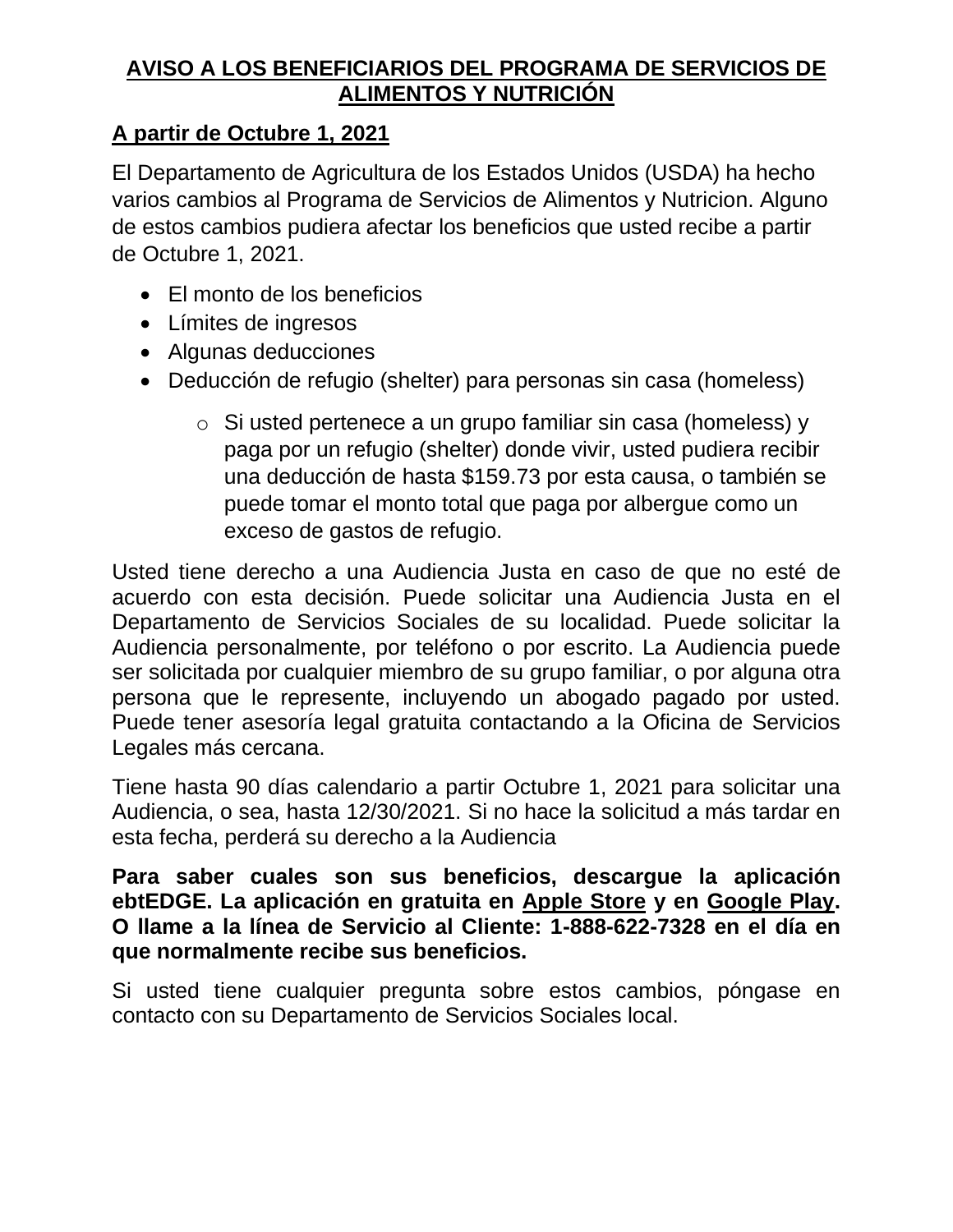### **AVISO A LOS BENEFICIARIOS DEL PROGRAMA DE SERVICIOS DE ALIMENTOS Y NUTRICIÓN**

# **A partir de Octubre 1, 2021**

El Departamento de Agricultura de los Estados Unidos (USDA) ha hecho varios cambios al Programa de Servicios de Alimentos y Nutricion. Alguno de estos cambios pudiera afectar los beneficios que usted recibe a partir de Octubre 1, 2021.

- El monto de los beneficios
- Límites de ingresos
- Algunas deducciones
- Deducción de refugio (shelter) para personas sin casa (homeless)
	- o Si usted pertenece a un grupo familiar sin casa (homeless) y paga por un refugio (shelter) donde vivir, usted pudiera recibir una deducción de hasta \$159.73 por esta causa, o también se puede tomar el monto total que paga por albergue como un exceso de gastos de refugio.

Usted tiene derecho a una Audiencia Justa en caso de que no esté de acuerdo con esta decisión. Puede solicitar una Audiencia Justa en el Departamento de Servicios Sociales de su localidad. Puede solicitar la Audiencia personalmente, por teléfono o por escrito. La Audiencia puede ser solicitada por cualquier miembro de su grupo familiar, o por alguna otra persona que le represente, incluyendo un abogado pagado por usted. Puede tener asesoría legal gratuita contactando a la Oficina de Servicios Legales más cercana.

Tiene hasta 90 días calendario a partir Octubre 1, 2021 para solicitar una Audiencia, o sea, hasta 12/30/2021. Si no hace la solicitud a más tardar en esta fecha, perderá su derecho a la Audiencia

#### **Para saber cuales son sus beneficios, descargue la aplicación ebtEDGE. La aplicación en gratuita en Apple Store y en Google Play. O llame a la línea de Servicio al Cliente: 1-888-622-7328 en el día en que normalmente recibe sus beneficios.**

Si usted tiene cualquier pregunta sobre estos cambios, póngase en contacto con su Departamento de Servicios Sociales local.